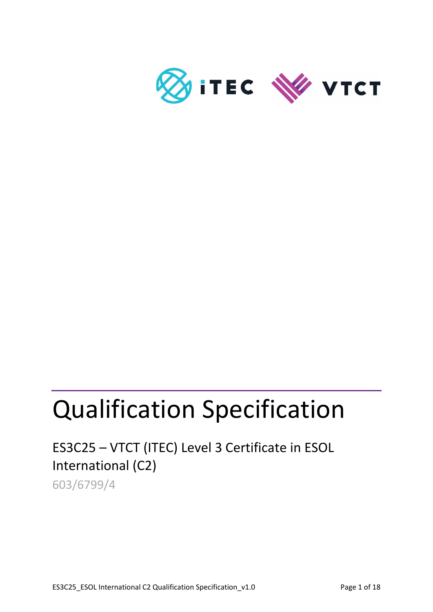

# Qualification Specification

ES3C25 – VTCT (ITEC) Level 3 Certificate in ESOL International (C2)

603/6799/4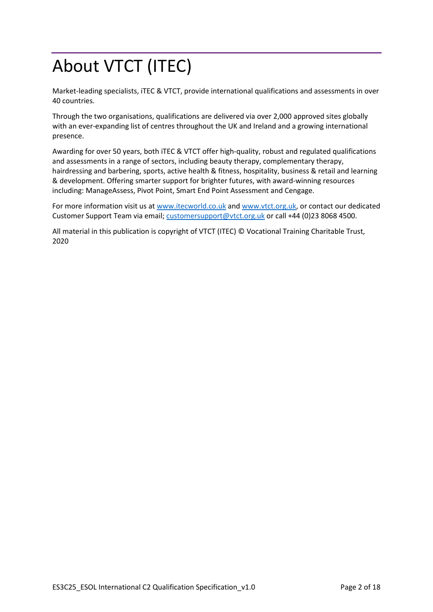# <span id="page-1-0"></span>About VTCT (ITEC)

Market-leading specialists, iTEC & VTCT, provide international qualifications and assessments in over 40 countries.

Through the two organisations, qualifications are delivered via over 2,000 approved sites globally with an ever-expanding list of centres throughout the UK and Ireland and a growing international presence.

Awarding for over 50 years, both iTEC & VTCT offer high-quality, robust and regulated qualifications and assessments in a range of sectors, including beauty therapy, complementary therapy, hairdressing and barbering, sports, active health & fitness, hospitality, business & retail and learning & development. Offering smarter support for brighter futures, with award-winning resources including: ManageAssess, Pivot Point, Smart End Point Assessment and Cengage.

For more information visit us a[t www.itecworld.co.uk](http://www.itecworld.co.uk/) and [www.vtct.org.uk,](http://www.vtct.org.uk/) or contact our dedicated Customer Support Team via email; [customersupport@vtct.org.uk](mailto:customersupport@vtct.org.uk) or call +44 (0)23 8068 4500.

All material in this publication is copyright of VTCT (ITEC) © Vocational Training Charitable Trust, 2020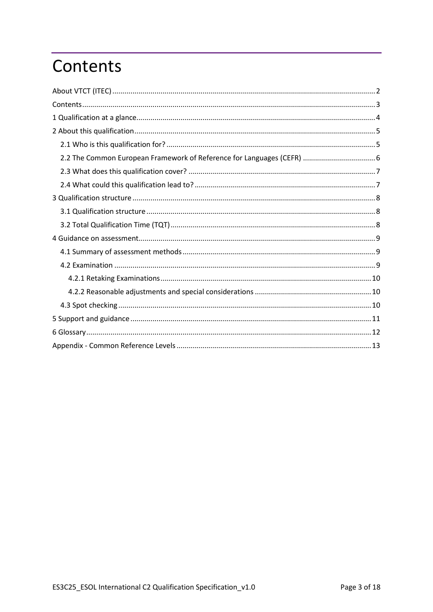### <span id="page-2-0"></span>Contents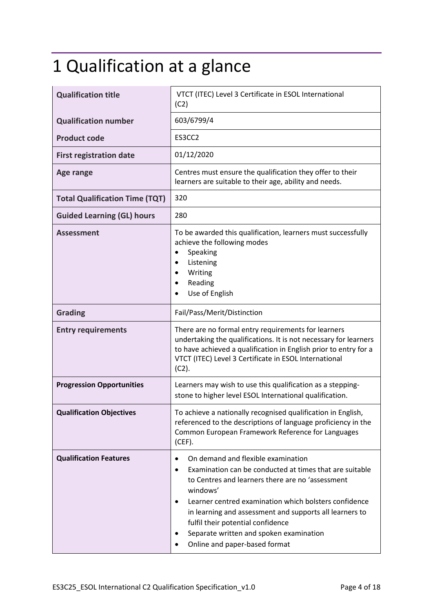### <span id="page-3-0"></span>1 Qualification at a glance

| <b>Qualification title</b>            | VTCT (ITEC) Level 3 Certificate in ESOL International<br>(C2)                                                                                                                                                                                                                                                                                                                                                                                  |
|---------------------------------------|------------------------------------------------------------------------------------------------------------------------------------------------------------------------------------------------------------------------------------------------------------------------------------------------------------------------------------------------------------------------------------------------------------------------------------------------|
| <b>Qualification number</b>           | 603/6799/4                                                                                                                                                                                                                                                                                                                                                                                                                                     |
| <b>Product code</b>                   | ES3CC2                                                                                                                                                                                                                                                                                                                                                                                                                                         |
| <b>First registration date</b>        | 01/12/2020                                                                                                                                                                                                                                                                                                                                                                                                                                     |
| Age range                             | Centres must ensure the qualification they offer to their<br>learners are suitable to their age, ability and needs.                                                                                                                                                                                                                                                                                                                            |
| <b>Total Qualification Time (TQT)</b> | 320                                                                                                                                                                                                                                                                                                                                                                                                                                            |
| <b>Guided Learning (GL) hours</b>     | 280                                                                                                                                                                                                                                                                                                                                                                                                                                            |
| <b>Assessment</b>                     | To be awarded this qualification, learners must successfully<br>achieve the following modes<br>Speaking<br>$\bullet$<br>Listening<br>$\bullet$<br>Writing<br>$\bullet$<br>Reading<br>Use of English                                                                                                                                                                                                                                            |
| <b>Grading</b>                        | Fail/Pass/Merit/Distinction                                                                                                                                                                                                                                                                                                                                                                                                                    |
| <b>Entry requirements</b>             | There are no formal entry requirements for learners<br>undertaking the qualifications. It is not necessary for learners<br>to have achieved a qualification in English prior to entry for a<br>VTCT (ITEC) Level 3 Certificate in ESOL International<br>$(C2)$ .                                                                                                                                                                               |
| <b>Progression Opportunities</b>      | Learners may wish to use this qualification as a stepping-<br>stone to higher level ESOL International qualification.                                                                                                                                                                                                                                                                                                                          |
| <b>Qualification Objectives</b>       | To achieve a nationally recognised qualification in English,<br>referenced to the descriptions of language proficiency in the<br>Common European Framework Reference for Languages<br>$(CEF)$ .                                                                                                                                                                                                                                                |
| <b>Qualification Features</b>         | On demand and flexible examination<br>$\bullet$<br>Examination can be conducted at times that are suitable<br>$\bullet$<br>to Centres and learners there are no 'assessment<br>windows'<br>Learner centred examination which bolsters confidence<br>$\bullet$<br>in learning and assessment and supports all learners to<br>fulfil their potential confidence<br>Separate written and spoken examination<br>٠<br>Online and paper-based format |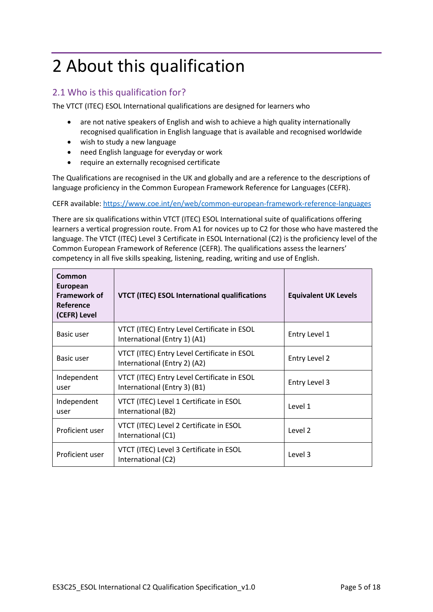### <span id="page-4-0"></span>2 About this qualification

#### <span id="page-4-1"></span>2.1 Who is this qualification for?

The VTCT (ITEC) ESOL International qualifications are designed for learners who

- are not native speakers of English and wish to achieve a high quality internationally recognised qualification in English language that is available and recognised worldwide
- wish to study a new language
- need English language for everyday or work
- require an externally recognised certificate

The Qualifications are recognised in the UK and globally and are a reference to the descriptions of language proficiency in the Common European Framework Reference for Languages (CEFR).

CEFR available:<https://www.coe.int/en/web/common-european-framework-reference-languages>

There are six qualifications within VTCT (ITEC) ESOL International suite of qualifications offering learners a vertical progression route. From A1 for novices up to C2 for those who have mastered the language. The VTCT (ITEC) Level 3 Certificate in ESOL International (C2) is the proficiency level of the Common European Framework of Reference (CEFR). The qualifications assess the learners' competency in all five skills speaking, listening, reading, writing and use of English.

| Common<br><b>European</b><br><b>Framework of</b><br>Reference<br>(CEFR) Level | <b>VTCT (ITEC) ESOL International qualifications</b>                        | <b>Equivalent UK Levels</b> |
|-------------------------------------------------------------------------------|-----------------------------------------------------------------------------|-----------------------------|
| Basic user                                                                    | VTCT (ITEC) Entry Level Certificate in ESOL<br>International (Entry 1) (A1) | Entry Level 1               |
| Basic user                                                                    | VTCT (ITEC) Entry Level Certificate in ESOL<br>International (Entry 2) (A2) | Entry Level 2               |
| Independent<br>user                                                           | VTCT (ITEC) Entry Level Certificate in ESOL<br>International (Entry 3) (B1) | Entry Level 3               |
| Independent<br>user                                                           | VTCT (ITEC) Level 1 Certificate in ESOL<br>International (B2)               | Level 1                     |
| Proficient user                                                               | VTCT (ITEC) Level 2 Certificate in ESOL<br>International (C1)               | Level 2                     |
| Proficient user                                                               | VTCT (ITEC) Level 3 Certificate in ESOL<br>International (C2)               | Level 3                     |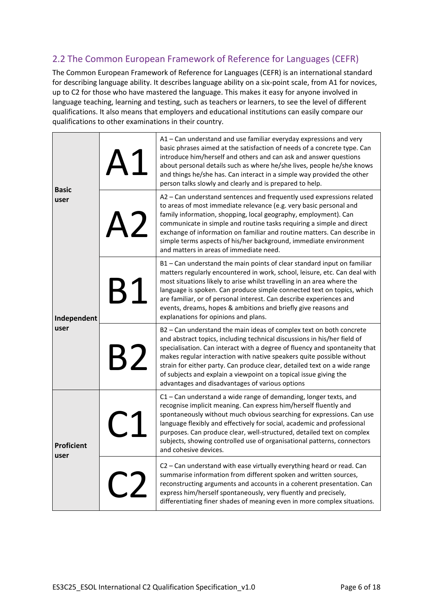#### <span id="page-5-0"></span>2.2 The Common European Framework of Reference for Languages (CEFR)

The Common European Framework of Reference for Languages (CEFR) is an international standard for describing language ability. It describes language ability on a six-point scale, from A1 for novices, up to C2 for those who have mastered the language. This makes it easy for anyone involved in language teaching, learning and testing, such as teachers or learners, to see the level of different qualifications. It also means that employers and educational institutions can easily compare our qualifications to other examinations in their country.

| <b>Basic</b>              |                | A1 - Can understand and use familiar everyday expressions and very<br>basic phrases aimed at the satisfaction of needs of a concrete type. Can<br>introduce him/herself and others and can ask and answer questions<br>about personal details such as where he/she lives, people he/she knows<br>and things he/she has. Can interact in a simple way provided the other<br>person talks slowly and clearly and is prepared to help.                                                                         |
|---------------------------|----------------|-------------------------------------------------------------------------------------------------------------------------------------------------------------------------------------------------------------------------------------------------------------------------------------------------------------------------------------------------------------------------------------------------------------------------------------------------------------------------------------------------------------|
| user                      |                | A2 – Can understand sentences and frequently used expressions related<br>to areas of most immediate relevance (e.g. very basic personal and<br>family information, shopping, local geography, employment). Can<br>communicate in simple and routine tasks requiring a simple and direct<br>exchange of information on familiar and routine matters. Can describe in<br>simple terms aspects of his/her background, immediate environment<br>and matters in areas of immediate need.                         |
| Independent               |                | B1 - Can understand the main points of clear standard input on familiar<br>matters regularly encountered in work, school, leisure, etc. Can deal with<br>most situations likely to arise whilst travelling in an area where the<br>language is spoken. Can produce simple connected text on topics, which<br>are familiar, or of personal interest. Can describe experiences and<br>events, dreams, hopes & ambitions and briefly give reasons and<br>explanations for opinions and plans.                  |
| user                      | <b>B2</b>      | B2 - Can understand the main ideas of complex text on both concrete<br>and abstract topics, including technical discussions in his/her field of<br>specialisation. Can interact with a degree of fluency and spontaneity that<br>makes regular interaction with native speakers quite possible without<br>strain for either party. Can produce clear, detailed text on a wide range<br>of subjects and explain a viewpoint on a topical issue giving the<br>advantages and disadvantages of various options |
| <b>Proficient</b><br>user |                | $C1$ – Can understand a wide range of demanding, longer texts, and<br>recognise implicit meaning. Can express him/herself fluently and<br>spontaneously without much obvious searching for expressions. Can use<br>language flexibly and effectively for social, academic and professional<br>purposes. Can produce clear, well-structured, detailed text on complex<br>subjects, showing controlled use of organisational patterns, connectors<br>and cohesive devices.                                    |
|                           | C <sub>2</sub> | C2 - Can understand with ease virtually everything heard or read. Can<br>summarise information from different spoken and written sources,<br>reconstructing arguments and accounts in a coherent presentation. Can<br>express him/herself spontaneously, very fluently and precisely,<br>differentiating finer shades of meaning even in more complex situations.                                                                                                                                           |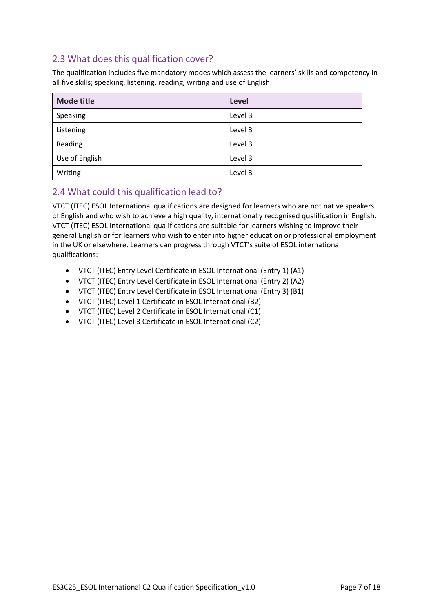#### <span id="page-6-0"></span>2.3 What does this qualification cover?

The qualification includes five mandatory modes which assess the learners' skills and competency in all five skills; speaking, listening, reading, writing and use of English.

| <b>Mode title</b> | <b>Level</b> |
|-------------------|--------------|
| Speaking          | Level 3      |
| Listening         | Level 3      |
| Reading           | Level 3      |
| Use of English    | Level 3      |
| Writing           | Level 3      |

#### <span id="page-6-1"></span>2.4 What could this qualification lead to?

VTCT (ITEC) ESOL International qualifications are designed for learners who are not native speakers of English and who wish to achieve a high quality, internationally recognised qualification in English. VTCT (ITEC) ESOL International qualifications are suitable for learners wishing to improve their general English or for learners who wish to enter into higher education or professional employment in the UK or elsewhere. Learners can progress through VTCT's suite of ESOL international qualifications:

- VTCT (ITEC) Entry Level Certificate in ESOL International (Entry 1) (A1)
- VTCT (ITEC) Entry Level Certificate in ESOL International (Entry 2) (A2)
- VTCT (ITEC) Entry Level Certificate in ESOL International (Entry 3) (B1)
- VTCT (ITEC) Level 1 Certificate in ESOL International (B2)
- VTCT (ITEC) Level 2 Certificate in ESOL International (C1)
- VTCT (ITEC) Level 3 Certificate in ESOL International (C2)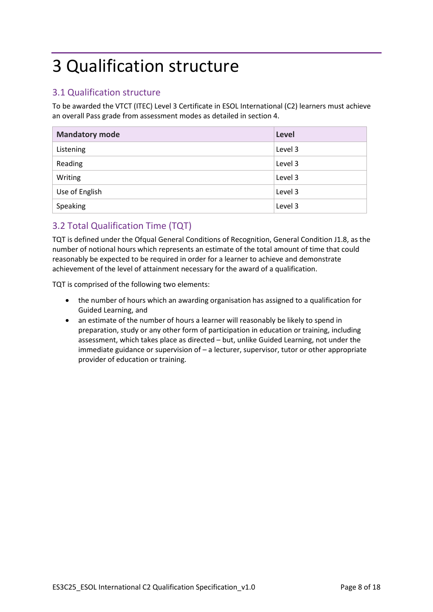## <span id="page-7-0"></span>3 Qualification structure

#### <span id="page-7-1"></span>3.1 Qualification structure

To be awarded the VTCT (ITEC) Level 3 Certificate in ESOL International (C2) learners must achieve an overall Pass grade from assessment modes as detailed in section 4.

| <b>Mandatory mode</b> | <b>Level</b> |
|-----------------------|--------------|
| Listening             | Level 3      |
| Reading               | Level 3      |
| Writing               | Level 3      |
| Use of English        | Level 3      |
| Speaking              | Level 3      |

#### <span id="page-7-2"></span>3.2 Total Qualification Time (TQT)

TQT is defined under the Ofqual General Conditions of Recognition, General Condition J1.8, as the number of notional hours which represents an estimate of the total amount of time that could reasonably be expected to be required in order for a learner to achieve and demonstrate achievement of the level of attainment necessary for the award of a qualification.

TQT is comprised of the following two elements:

- the number of hours which an awarding organisation has assigned to a qualification for Guided Learning, and
- an estimate of the number of hours a learner will reasonably be likely to spend in preparation, study or any other form of participation in education or training, including assessment, which takes place as directed – but, unlike Guided Learning, not under the immediate guidance or supervision of – a lecturer, supervisor, tutor or other appropriate provider of education or training.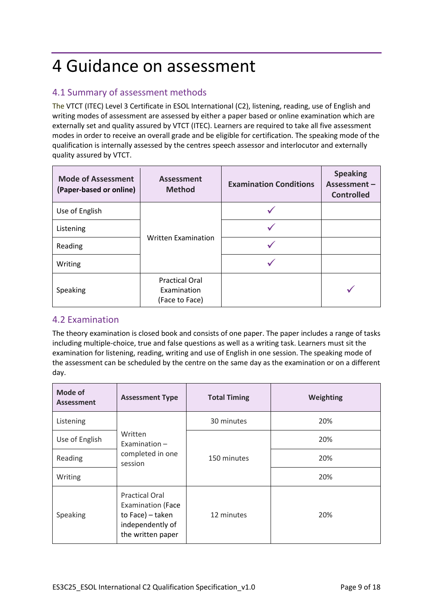### <span id="page-8-0"></span>4 Guidance on assessment

#### <span id="page-8-1"></span>4.1 Summary of assessment methods

The VTCT (ITEC) Level 3 Certificate in ESOL International (C2), listening, reading, use of English and writing modes of assessment are assessed by either a paper based or online examination which are externally set and quality assured by VTCT (ITEC). Learners are required to take all five assessment modes in order to receive an overall grade and be eligible for certification. The speaking mode of the qualification is internally assessed by the centres speech assessor and interlocutor and externally quality assured by VTCT.

| <b>Mode of Assessment</b><br>(Paper-based or online) | Assessment<br><b>Method</b>                            | <b>Examination Conditions</b> | <b>Speaking</b><br>Assessment-<br><b>Controlled</b> |
|------------------------------------------------------|--------------------------------------------------------|-------------------------------|-----------------------------------------------------|
| Use of English                                       |                                                        |                               |                                                     |
| Listening                                            |                                                        |                               |                                                     |
| Reading                                              | <b>Written Examination</b>                             |                               |                                                     |
| Writing                                              |                                                        |                               |                                                     |
| Speaking                                             | <b>Practical Oral</b><br>Examination<br>(Face to Face) |                               |                                                     |

#### <span id="page-8-2"></span>4.2 Examination

The theory examination is closed book and consists of one paper. The paper includes a range of tasks including multiple-choice, true and false questions as well as a writing task. Learners must sit the examination for listening, reading, writing and use of English in one session. The speaking mode of the assessment can be scheduled by the centre on the same day as the examination or on a different day.

| Mode of<br><b>Assessment</b> | <b>Assessment Type</b>                                                                                         | <b>Total Timing</b> | Weighting |
|------------------------------|----------------------------------------------------------------------------------------------------------------|---------------------|-----------|
| Listening                    |                                                                                                                | 30 minutes          | 20%       |
| Use of English               | Written<br>Examination $-$<br>completed in one<br>session                                                      |                     | 20%       |
| Reading                      |                                                                                                                | 150 minutes         | 20%       |
| Writing                      |                                                                                                                |                     | 20%       |
| Speaking                     | <b>Practical Oral</b><br><b>Examination (Face</b><br>to Face) - taken<br>independently of<br>the written paper | 12 minutes          | 20%       |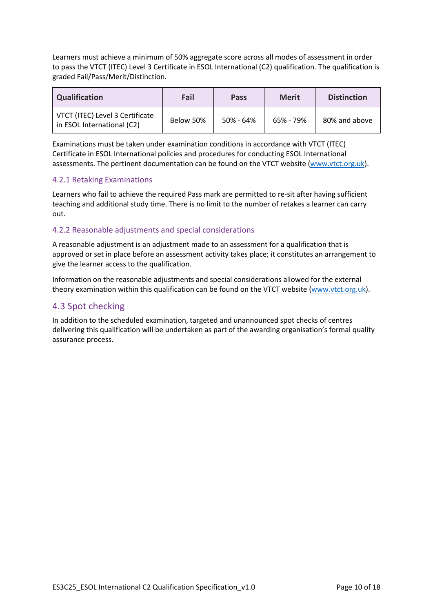Learners must achieve a minimum of 50% aggregate score across all modes of assessment in order to pass the VTCT (ITEC) Level 3 Certificate in ESOL International (C2) qualification. The qualification is graded Fail/Pass/Merit/Distinction.

| <b>Qualification</b>                                          | Fail      | Pass          | <b>Merit</b> | <b>Distinction</b> |
|---------------------------------------------------------------|-----------|---------------|--------------|--------------------|
| VTCT (ITEC) Level 3 Certificate<br>in ESOL International (C2) | Below 50% | $50\% - 64\%$ | 65% - 79%    | 80% and above      |

Examinations must be taken under examination conditions in accordance with VTCT (ITEC) Certificate in ESOL International policies and procedures for conducting ESOL International assessments. The pertinent documentation can be found on the VTCT website [\(www.vtct.org.uk\)](http://www.vtct.org.uk/).

#### <span id="page-9-0"></span>4.2.1 Retaking Examinations

Learners who fail to achieve the required Pass mark are permitted to re-sit after having sufficient teaching and additional study time. There is no limit to the number of retakes a learner can carry out.

#### <span id="page-9-1"></span>4.2.2 Reasonable adjustments and special considerations

A reasonable adjustment is an adjustment made to an assessment for a qualification that is approved or set in place before an assessment activity takes place; it constitutes an arrangement to give the learner access to the qualification.

Information on the reasonable adjustments and special considerations allowed for the external theory examination within this qualification can be found on the VTCT website [\(www.vtct.org.uk\)](http://www.vtct.org.uk/).

#### <span id="page-9-2"></span>4.3 Spot checking

In addition to the scheduled examination, targeted and unannounced spot checks of centres delivering this qualification will be undertaken as part of the awarding organisation's formal quality assurance process.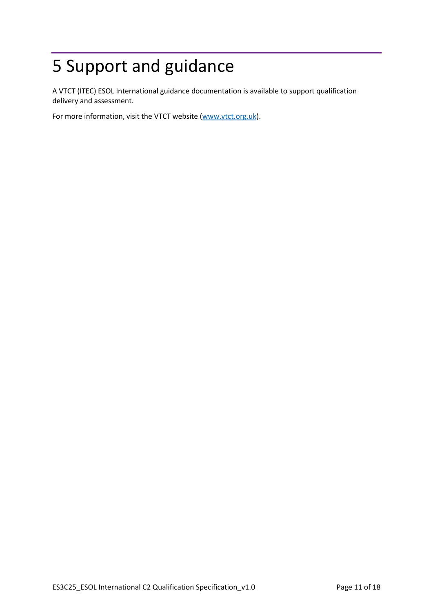### <span id="page-10-0"></span>5 Support and guidance

A VTCT (ITEC) ESOL International guidance documentation is available to support qualification delivery and assessment.

For more information, visit the VTCT website [\(www.vtct.org.uk\)](http://www.vtct.org.uk/).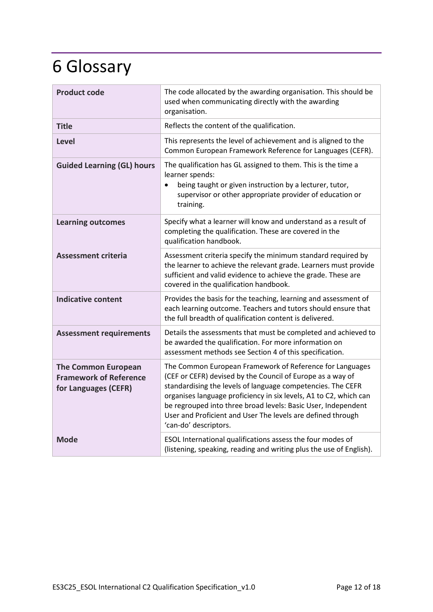### <span id="page-11-0"></span>6 Glossary

| <b>Product code</b>                                                                 | The code allocated by the awarding organisation. This should be<br>used when communicating directly with the awarding<br>organisation.                                                                                                                                                                                                                                                                              |
|-------------------------------------------------------------------------------------|---------------------------------------------------------------------------------------------------------------------------------------------------------------------------------------------------------------------------------------------------------------------------------------------------------------------------------------------------------------------------------------------------------------------|
| <b>Title</b>                                                                        | Reflects the content of the qualification.                                                                                                                                                                                                                                                                                                                                                                          |
| <b>Level</b>                                                                        | This represents the level of achievement and is aligned to the<br>Common European Framework Reference for Languages (CEFR).                                                                                                                                                                                                                                                                                         |
| <b>Guided Learning (GL) hours</b>                                                   | The qualification has GL assigned to them. This is the time a<br>learner spends:<br>being taught or given instruction by a lecturer, tutor,<br>$\bullet$<br>supervisor or other appropriate provider of education or<br>training.                                                                                                                                                                                   |
| <b>Learning outcomes</b>                                                            | Specify what a learner will know and understand as a result of<br>completing the qualification. These are covered in the<br>qualification handbook.                                                                                                                                                                                                                                                                 |
| <b>Assessment criteria</b>                                                          | Assessment criteria specify the minimum standard required by<br>the learner to achieve the relevant grade. Learners must provide<br>sufficient and valid evidence to achieve the grade. These are<br>covered in the qualification handbook.                                                                                                                                                                         |
| <b>Indicative content</b>                                                           | Provides the basis for the teaching, learning and assessment of<br>each learning outcome. Teachers and tutors should ensure that<br>the full breadth of qualification content is delivered.                                                                                                                                                                                                                         |
| <b>Assessment requirements</b>                                                      | Details the assessments that must be completed and achieved to<br>be awarded the qualification. For more information on<br>assessment methods see Section 4 of this specification.                                                                                                                                                                                                                                  |
| <b>The Common European</b><br><b>Framework of Reference</b><br>for Languages (CEFR) | The Common European Framework of Reference for Languages<br>(CEF or CEFR) devised by the Council of Europe as a way of<br>standardising the levels of language competencies. The CEFR<br>organises language proficiency in six levels, A1 to C2, which can<br>be regrouped into three broad levels: Basic User, Independent<br>User and Proficient and User The levels are defined through<br>'can-do' descriptors. |
| <b>Mode</b>                                                                         | ESOL International qualifications assess the four modes of<br>(listening, speaking, reading and writing plus the use of English).                                                                                                                                                                                                                                                                                   |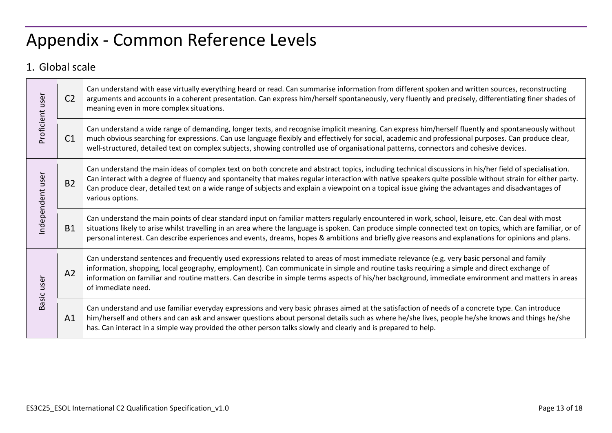### Appendix - Common Reference Levels

#### 1. Global scale

<span id="page-12-0"></span>

| Proficient user      | C <sub>2</sub> | Can understand with ease virtually everything heard or read. Can summarise information from different spoken and written sources, reconstructing<br>arguments and accounts in a coherent presentation. Can express him/herself spontaneously, very fluently and precisely, differentiating finer shades of<br>meaning even in more complex situations.                                                                                                                                         |
|----------------------|----------------|------------------------------------------------------------------------------------------------------------------------------------------------------------------------------------------------------------------------------------------------------------------------------------------------------------------------------------------------------------------------------------------------------------------------------------------------------------------------------------------------|
|                      | C <sub>1</sub> | Can understand a wide range of demanding, longer texts, and recognise implicit meaning. Can express him/herself fluently and spontaneously without<br>much obvious searching for expressions. Can use language flexibly and effectively for social, academic and professional purposes. Can produce clear,<br>well-structured, detailed text on complex subjects, showing controlled use of organisational patterns, connectors and cohesive devices.                                          |
| Independent user     | <b>B2</b>      | Can understand the main ideas of complex text on both concrete and abstract topics, including technical discussions in his/her field of specialisation.<br>Can interact with a degree of fluency and spontaneity that makes regular interaction with native speakers quite possible without strain for either party.<br>Can produce clear, detailed text on a wide range of subjects and explain a viewpoint on a topical issue giving the advantages and disadvantages of<br>various options. |
|                      | <b>B1</b>      | Can understand the main points of clear standard input on familiar matters regularly encountered in work, school, leisure, etc. Can deal with most<br>situations likely to arise whilst travelling in an area where the language is spoken. Can produce simple connected text on topics, which are familiar, or of<br>personal interest. Can describe experiences and events, dreams, hopes & ambitions and briefly give reasons and explanations for opinions and plans.                      |
| user<br><b>Basic</b> | A2             | Can understand sentences and frequently used expressions related to areas of most immediate relevance (e.g. very basic personal and family<br>information, shopping, local geography, employment). Can communicate in simple and routine tasks requiring a simple and direct exchange of<br>information on familiar and routine matters. Can describe in simple terms aspects of his/her background, immediate environment and matters in areas<br>of immediate need.                          |
|                      | A1             | Can understand and use familiar everyday expressions and very basic phrases aimed at the satisfaction of needs of a concrete type. Can introduce<br>him/herself and others and can ask and answer questions about personal details such as where he/she lives, people he/she knows and things he/she<br>has. Can interact in a simple way provided the other person talks slowly and clearly and is prepared to help.                                                                          |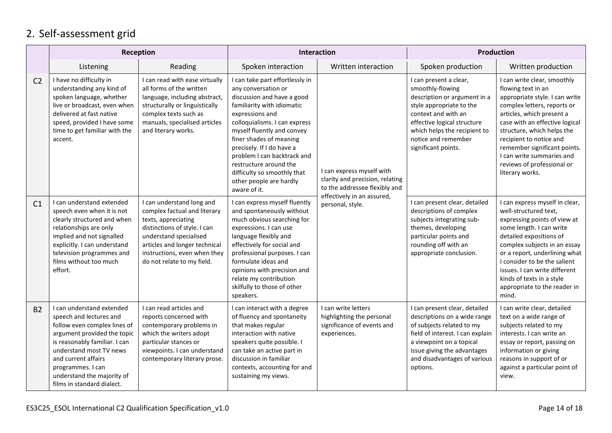### 2. Self-assessment grid

|                | Reception                                                                                                                                                                                                                                                                               |                                                                                                                                                                                                                                           | Interaction                                                                                                                                                                                                                                                                                                                                                                                     |                                                                                                                             | Production                                                                                                                                                                                                                                 |                                                                                                                                                                                                                                                                                                                                                          |
|----------------|-----------------------------------------------------------------------------------------------------------------------------------------------------------------------------------------------------------------------------------------------------------------------------------------|-------------------------------------------------------------------------------------------------------------------------------------------------------------------------------------------------------------------------------------------|-------------------------------------------------------------------------------------------------------------------------------------------------------------------------------------------------------------------------------------------------------------------------------------------------------------------------------------------------------------------------------------------------|-----------------------------------------------------------------------------------------------------------------------------|--------------------------------------------------------------------------------------------------------------------------------------------------------------------------------------------------------------------------------------------|----------------------------------------------------------------------------------------------------------------------------------------------------------------------------------------------------------------------------------------------------------------------------------------------------------------------------------------------------------|
|                | Listening                                                                                                                                                                                                                                                                               | Reading                                                                                                                                                                                                                                   | Spoken interaction                                                                                                                                                                                                                                                                                                                                                                              | Written interaction                                                                                                         | Spoken production                                                                                                                                                                                                                          | Written production                                                                                                                                                                                                                                                                                                                                       |
| C <sub>2</sub> | I have no difficulty in<br>understanding any kind of<br>spoken language, whether<br>live or broadcast, even when<br>delivered at fast native<br>speed, provided I have some<br>time to get familiar with the<br>accent.                                                                 | I can read with ease virtually<br>all forms of the written<br>language, including abstract,<br>structurally or linguistically<br>complex texts such as<br>manuals, specialised articles<br>and literary works.                            | I can take part effortlessly in<br>any conversation or<br>discussion and have a good<br>familiarity with idiomatic<br>expressions and<br>colloquialisms. I can express<br>myself fluently and convey<br>finer shades of meaning<br>precisely. If I do have a<br>problem I can backtrack and<br>restructure around the<br>difficulty so smoothly that<br>other people are hardly<br>aware of it. | I can express myself with<br>clarity and precision, relating<br>to the addressee flexibly and<br>effectively in an assured, | I can present a clear,<br>smoothly-flowing<br>description or argument in a<br>style appropriate to the<br>context and with an<br>effective logical structure<br>which helps the recipient to<br>notice and remember<br>significant points. | I can write clear, smoothly<br>flowing text in an<br>appropriate style. I can write<br>complex letters, reports or<br>articles, which present a<br>case with an effective logical<br>structure, which helps the<br>recipient to notice and<br>remember significant points.<br>I can write summaries and<br>reviews of professional or<br>literary works. |
| C <sub>1</sub> | I can understand extended<br>speech even when it is not<br>clearly structured and when<br>relationships are only<br>implied and not signalled<br>explicitly. I can understand<br>television programmes and<br>films without too much<br>effort.                                         | I can understand long and<br>complex factual and literary<br>texts, appreciating<br>distinctions of style. I can<br>understand specialised<br>articles and longer technical<br>instructions, even when they<br>do not relate to my field. | I can express myself fluently<br>and spontaneously without<br>much obvious searching for<br>expressions. I can use<br>language flexibly and<br>effectively for social and<br>professional purposes. I can<br>formulate ideas and<br>opinions with precision and<br>relate my contribution<br>skilfully to those of other<br>speakers.                                                           | personal, style.                                                                                                            | I can present clear, detailed<br>descriptions of complex<br>subjects integrating sub-<br>themes, developing<br>particular points and<br>rounding off with an<br>appropriate conclusion.                                                    | I can express myself in clear,<br>well-structured text,<br>expressing points of view at<br>some length. I can write<br>detailed expositions of<br>complex subjects in an essay<br>or a report, underlining what<br>I consider to be the salient<br>issues. I can write different<br>kinds of texts in a style<br>appropriate to the reader in<br>mind.   |
| <b>B2</b>      | I can understand extended<br>speech and lectures and<br>follow even complex lines of<br>argument provided the topic<br>is reasonably familiar. I can<br>understand most TV news<br>and current affairs<br>programmes. I can<br>understand the majority of<br>films in standard dialect. | I can read articles and<br>reports concerned with<br>contemporary problems in<br>which the writers adopt<br>particular stances or<br>viewpoints. I can understand<br>contemporary literary prose.                                         | I can interact with a degree<br>of fluency and spontaneity<br>that makes regular<br>interaction with native<br>speakers quite possible. I<br>can take an active part in<br>discussion in familiar<br>contexts, accounting for and<br>sustaining my views.                                                                                                                                       | I can write letters<br>highlighting the personal<br>significance of events and<br>experiences.                              | I can present clear, detailed<br>descriptions on a wide range<br>of subjects related to my<br>field of interest. I can explain<br>a viewpoint on a topical<br>issue giving the advantages<br>and disadvantages of various<br>options.      | I can write clear, detailed<br>text on a wide range of<br>subjects related to my<br>interests. I can write an<br>essay or report, passing on<br>information or giving<br>reasons in support of or<br>against a particular point of<br>view.                                                                                                              |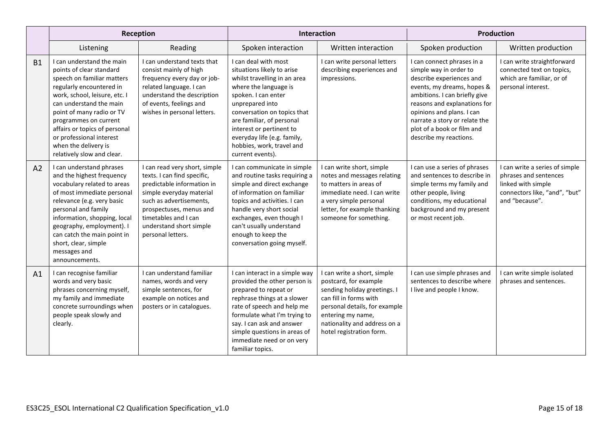|           | Reception                                                                                                                                                                                                                                                                                                                                            |                                                                                                                                                                                                                                                      | Interaction                                                                                                                                                                                                                                                                                                                   |                                                                                                                                                                                                                                  | <b>Production</b>                                                                                                                                                                                                                                                                                     |                                                                                                                                  |
|-----------|------------------------------------------------------------------------------------------------------------------------------------------------------------------------------------------------------------------------------------------------------------------------------------------------------------------------------------------------------|------------------------------------------------------------------------------------------------------------------------------------------------------------------------------------------------------------------------------------------------------|-------------------------------------------------------------------------------------------------------------------------------------------------------------------------------------------------------------------------------------------------------------------------------------------------------------------------------|----------------------------------------------------------------------------------------------------------------------------------------------------------------------------------------------------------------------------------|-------------------------------------------------------------------------------------------------------------------------------------------------------------------------------------------------------------------------------------------------------------------------------------------------------|----------------------------------------------------------------------------------------------------------------------------------|
|           | Listening                                                                                                                                                                                                                                                                                                                                            | Reading                                                                                                                                                                                                                                              | Spoken interaction                                                                                                                                                                                                                                                                                                            | Written interaction                                                                                                                                                                                                              | Spoken production                                                                                                                                                                                                                                                                                     | Written production                                                                                                               |
| <b>B1</b> | I can understand the main<br>points of clear standard<br>speech on familiar matters<br>regularly encountered in<br>work, school, leisure, etc. I<br>can understand the main<br>point of many radio or TV<br>programmes on current<br>affairs or topics of personal<br>or professional interest<br>when the delivery is<br>relatively slow and clear. | I can understand texts that<br>consist mainly of high<br>frequency every day or job-<br>related language. I can<br>understand the description<br>of events, feelings and<br>wishes in personal letters.                                              | I can deal with most<br>situations likely to arise<br>whilst travelling in an area<br>where the language is<br>spoken. I can enter<br>unprepared into<br>conversation on topics that<br>are familiar, of personal<br>interest or pertinent to<br>everyday life (e.g. family,<br>hobbies, work, travel and<br>current events). | I can write personal letters<br>describing experiences and<br>impressions.                                                                                                                                                       | I can connect phrases in a<br>simple way in order to<br>describe experiences and<br>events, my dreams, hopes &<br>ambitions. I can briefly give<br>reasons and explanations for<br>opinions and plans. I can<br>narrate a story or relate the<br>plot of a book or film and<br>describe my reactions. | I can write straightforward<br>connected text on topics,<br>which are familiar, or of<br>personal interest.                      |
| A2        | I can understand phrases<br>and the highest frequency<br>vocabulary related to areas<br>of most immediate personal<br>relevance (e.g. very basic<br>personal and family<br>information, shopping, local<br>geography, employment). I<br>can catch the main point in<br>short, clear, simple<br>messages and<br>announcements.                        | I can read very short, simple<br>texts. I can find specific,<br>predictable information in<br>simple everyday material<br>such as advertisements,<br>prospectuses, menus and<br>timetables and I can<br>understand short simple<br>personal letters. | I can communicate in simple<br>and routine tasks requiring a<br>simple and direct exchange<br>of information on familiar<br>topics and activities. I can<br>handle very short social<br>exchanges, even though I<br>can't usually understand<br>enough to keep the<br>conversation going myself.                              | I can write short, simple<br>notes and messages relating<br>to matters in areas of<br>immediate need. I can write<br>a very simple personal<br>letter, for example thanking<br>someone for something.                            | I can use a series of phrases<br>and sentences to describe in<br>simple terms my family and<br>other people, living<br>conditions, my educational<br>background and my present<br>or most recent job.                                                                                                 | I can write a series of simple<br>phrases and sentences<br>linked with simple<br>connectors like, "and", "but"<br>and "because". |
| A1        | I can recognise familiar<br>words and very basic<br>phrases concerning myself,<br>my family and immediate<br>concrete surroundings when<br>people speak slowly and<br>clearly.                                                                                                                                                                       | I can understand familiar<br>names, words and very<br>simple sentences, for<br>example on notices and<br>posters or in catalogues.                                                                                                                   | I can interact in a simple way<br>provided the other person is<br>prepared to repeat or<br>rephrase things at a slower<br>rate of speech and help me<br>formulate what I'm trying to<br>say. I can ask and answer<br>simple questions in areas of<br>immediate need or on very<br>familiar topics.                            | I can write a short, simple<br>postcard, for example<br>sending holiday greetings. I<br>can fill in forms with<br>personal details, for example<br>entering my name,<br>nationality and address on a<br>hotel registration form. | I can use simple phrases and<br>sentences to describe where<br>I live and people I know.                                                                                                                                                                                                              | I can write simple isolated<br>phrases and sentences.                                                                            |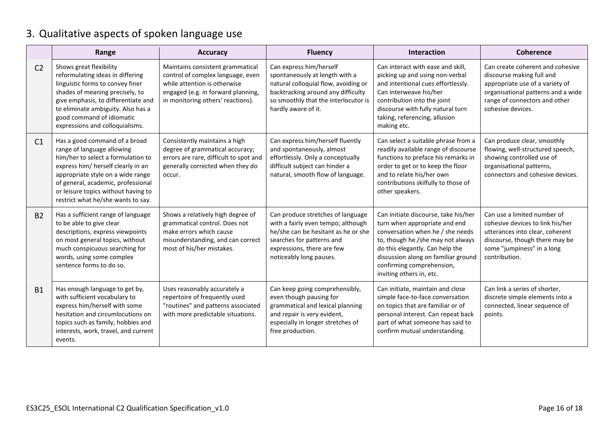### 3. Qualitative aspects of spoken language use

|                | Range                                                                                                                                                                                                                                                                                           | <b>Accuracy</b>                                                                                                                                                                  | <b>Fluency</b>                                                                                                                                                                                         | <b>Interaction</b>                                                                                                                                                                                                                                                                | Coherence                                                                                                                                                                                    |
|----------------|-------------------------------------------------------------------------------------------------------------------------------------------------------------------------------------------------------------------------------------------------------------------------------------------------|----------------------------------------------------------------------------------------------------------------------------------------------------------------------------------|--------------------------------------------------------------------------------------------------------------------------------------------------------------------------------------------------------|-----------------------------------------------------------------------------------------------------------------------------------------------------------------------------------------------------------------------------------------------------------------------------------|----------------------------------------------------------------------------------------------------------------------------------------------------------------------------------------------|
| C <sub>2</sub> | Shows great flexibility<br>reformulating ideas in differing<br>linguistic forms to convey finer<br>shades of meaning precisely, to<br>give emphasis, to differentiate and<br>to eliminate ambiguity. Also has a<br>good command of idiomatic<br>expressions and colloquialisms.                 | Maintains consistent grammatical<br>control of complex language, even<br>while attention is otherwise<br>engaged (e.g. in forward planning,<br>in monitoring others' reactions). | Can express him/herself<br>spontaneously at length with a<br>natural colloquial flow, avoiding or<br>backtracking around any difficulty<br>so smoothly that the interlocutor is<br>hardly aware of it. | Can interact with ease and skill,<br>picking up and using non-verbal<br>and intentional cues effortlessly.<br>Can interweave his/her<br>contribution into the joint<br>discourse with fully natural turn<br>taking, referencing, allusion<br>making etc.                          | Can create coherent and cohesive<br>discourse making full and<br>appropriate use of a variety of<br>organisational patterns and a wide<br>range of connectors and other<br>cohesive devices. |
| C <sub>1</sub> | Has a good command of a broad<br>range of language allowing<br>him/her to select a formulation to<br>express him/ herself clearly in an<br>appropriate style on a wide range<br>of general, academic, professional<br>or leisure topics without having to<br>restrict what he/she wants to say. | Consistently maintains a high<br>degree of grammatical accuracy;<br>errors are rare, difficult to spot and<br>generally corrected when they do<br>occur.                         | Can express him/herself fluently<br>and spontaneously, almost<br>effortlessly. Only a conceptually<br>difficult subject can hinder a<br>natural, smooth flow of language.                              | Can select a suitable phrase from a<br>readily available range of discourse<br>functions to preface his remarks in<br>order to get or to keep the floor<br>and to relate his/her own<br>contributions skilfully to those of<br>other speakers.                                    | Can produce clear, smoothly<br>flowing, well-structured speech,<br>showing controlled use of<br>organisational patterns,<br>connectors and cohesive devices.                                 |
| <b>B2</b>      | Has a sufficient range of language<br>to be able to give clear<br>descriptions, express viewpoints<br>on most general topics, without<br>much conspicuous searching for<br>words, using some complex<br>sentence forms to do so.                                                                | Shows a relatively high degree of<br>grammatical control. Does not<br>make errors which cause<br>misunderstanding, and can correct<br>most of his/her mistakes.                  | Can produce stretches of language<br>with a fairly even tempo; although<br>he/she can be hesitant as he or she<br>searches for patterns and<br>expressions, there are few<br>noticeably long pauses.   | Can initiate discourse, take his/her<br>turn when appropriate and end<br>conversation when he / she needs<br>to, though he /she may not always<br>do this elegantly. Can help the<br>discussion along on familiar ground<br>confirming comprehension,<br>inviting others in, etc. | Can use a limited number of<br>cohesive devices to link his/her<br>utterances into clear, coherent<br>discourse, though there may be<br>some "jumpiness" in a long<br>contribution.          |
| <b>B1</b>      | Has enough language to get by,<br>with sufficient vocabulary to<br>express him/herself with some<br>hesitation and circumlocutions on<br>topics such as family, hobbies and<br>interests, work, travel, and current<br>events.                                                                  | Uses reasonably accurately a<br>repertoire of frequently used<br>"routines" and patterns associated<br>with more predictable situations.                                         | Can keep going comprehensibly,<br>even though pausing for<br>grammatical and lexical planning<br>and repair is very evident,<br>especially in longer stretches of<br>free production.                  | Can initiate, maintain and close<br>simple face-to-face conversation<br>on topics that are familiar or of<br>personal interest. Can repeat back<br>part of what someone has said to<br>confirm mutual understanding.                                                              | Can link a series of shorter,<br>discrete simple elements into a<br>connected, linear sequence of<br>points.                                                                                 |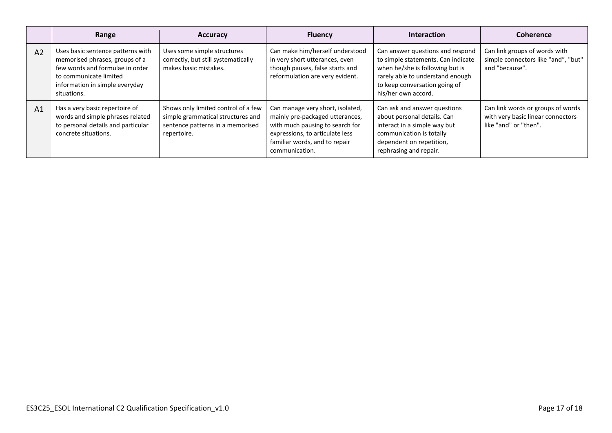|                | Range                                                                                                                                                                             | <b>Accuracy</b>                                                                                                             | <b>Fluency</b>                                                                                                                                                                               | <b>Interaction</b>                                                                                                                                                                                    | <b>Coherence</b>                                                                                |
|----------------|-----------------------------------------------------------------------------------------------------------------------------------------------------------------------------------|-----------------------------------------------------------------------------------------------------------------------------|----------------------------------------------------------------------------------------------------------------------------------------------------------------------------------------------|-------------------------------------------------------------------------------------------------------------------------------------------------------------------------------------------------------|-------------------------------------------------------------------------------------------------|
| A <sub>2</sub> | Uses basic sentence patterns with<br>memorised phrases, groups of a<br>few words and formulae in order<br>to communicate limited<br>information in simple everyday<br>situations. | Uses some simple structures<br>correctly, but still systematically<br>makes basic mistakes.                                 | Can make him/herself understood<br>in very short utterances, even<br>though pauses, false starts and<br>reformulation are very evident.                                                      | Can answer questions and respond<br>to simple statements. Can indicate<br>when he/she is following but is<br>rarely able to understand enough<br>to keep conversation going of<br>his/her own accord. | Can link groups of words with<br>simple connectors like "and", "but"<br>and "because".          |
| A1             | Has a very basic repertoire of<br>words and simple phrases related<br>to personal details and particular<br>concrete situations.                                                  | Shows only limited control of a few<br>simple grammatical structures and<br>sentence patterns in a memorised<br>repertoire. | Can manage very short, isolated,<br>mainly pre-packaged utterances,<br>with much pausing to search for<br>expressions, to articulate less<br>familiar words, and to repair<br>communication. | Can ask and answer questions<br>about personal details. Can<br>interact in a simple way but<br>communication is totally<br>dependent on repetition,<br>rephrasing and repair.                         | Can link words or groups of words<br>with very basic linear connectors<br>like "and" or "then". |